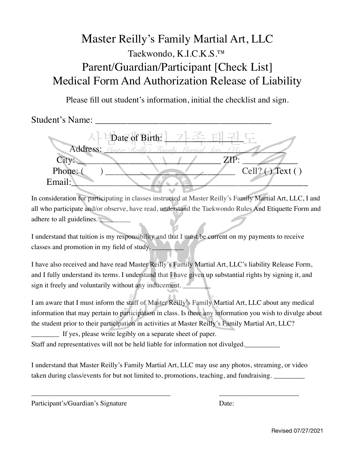## Master Reilly's Family Martial Art, LLC Taekwondo, K.I.C.K.S.™ Parent/Guardian/Participant [Check List] Medical Form And Authorization Release of Liability

Please fill out student's information, initial the checklist and sign.

Student's Name:

Date of Birth: Address:  $\sqrt{a}$  $City:$   $ZIP:$   $ZIP:$ Phone: ( ) \_\_\_\_\_\_\_\_\_\_\_\_\_\_\_\_\_\_\_\_\_\_\_\_\_\_\_\_ Cell? ( ) Text ( ) Email:\_\_\_\_\_\_\_\_\_\_\_\_\_\_\_\_\_\_\_\_\_\_\_\_\_\_\_\_\_\_\_\_\_\_\_\_\_\_\_\_\_\_\_\_\_\_\_\_\_\_\_

In consideration for participating in classes instructed at Master Reilly's Family Martial Art, LLC, I and all who participate and/or observe, have read, understand the Taekwondo Rules And Etiquette Form and adhere to all guidelines.

I understand that tuition is my responsibility and that I must be current on my payments to receive classes and promotion in my field of study.

I have also received and have read Master Reilly's Family Martial Art, LLC's liability Release Form, and I fully understand its terms. I understand that I have given up substantial rights by signing it, and sign it freely and voluntarily without any inducement.

I am aware that I must inform the staff of Master Reilly's Family Martial Art, LLC about any medical information that may pertain to participation in class. Is there any information you wish to divulge about the student prior to their participation in activities at Master Reilly's Family Martial Art, LLC?

\_\_\_\_\_\_\_\_ If yes, please write legibly on a separate sheet of paper.

Staff and representatives will not be held liable for information not divulged.

I understand that Master Reilly's Family Martial Art, LLC may use any photos, streaming, or video taken during class/events for but not limited to, promotions, teaching, and fundraising.

\_\_\_\_\_\_\_\_\_\_\_\_\_\_\_\_\_\_\_\_\_\_\_\_\_\_\_\_\_\_\_\_\_\_\_\_\_\_\_\_ \_\_\_\_\_\_\_\_\_\_\_\_\_\_\_\_\_\_\_\_\_\_\_

Participant's/Guardian's Signature Date: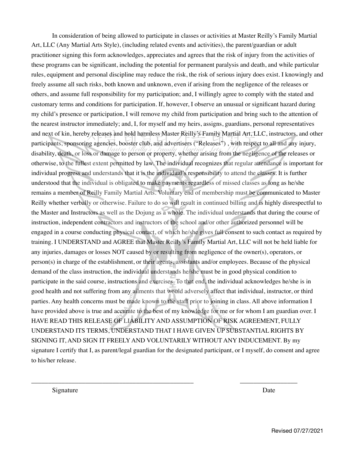In consideration of being allowed to participate in classes or activities at Master Reilly's Family Martial Art, LLC (Any Martial Arts Style), (including related events and activities), the parent/guardian or adult practitioner signing this form acknowledges, appreciates and agrees that the risk of injury from the activities of these programs can be significant, including the potential for permanent paralysis and death, and while particular rules, equipment and personal discipline may reduce the risk, the risk of serious injury does exist. I knowingly and freely assume all such risks, both known and unknown, even if arising from the negligence of the releases or others, and assume full responsibility for my participation; and, I willingly agree to comply with the stated and customary terms and conditions for participation. If, however, I observe an unusual or significant hazard during my child's presence or participation, I will remove my child from participation and bring such to the attention of the nearest instructor immediately; and, I, for myself and my heirs, assigns, guardians, personal representatives and next of kin, hereby releases and hold harmless Master Reilly's Family Martial Art, LLC, instructors, and other participants, sponsoring agencies, booster club, and advertisers ("Releases") , with respect to all and any injury, disability, death, or loss or damage to person or property, whether arising from the negligence of the releases or otherwise, to the fullest extent permitted by law. The individual recognizes that regular attendance is important for individual progress and understands that it is the individual's responsibility to attend the classes. It is further understood that the individual is obligated to make payments regardless of missed classes as long as he/she remains a member of Reilly Family Martial Arts. Voluntary end of membership must be communicated to Master Reilly whether verbally or otherwise. Failure to do so will result in continued billing and is highly disrespectful to the Master and Instructors as well as the Dojung as a whole. The individual understands that during the course of instruction, independent contractors and instructors of the school and/or other authorized personnel will be engaged in a course conducting physical contact, of which he/she gives full consent to such contact as required by training. I UNDERSTAND and AGREE that Master Reilly's Family Martial Art, LLC will not be held liable for any injuries, damages or losses NOT caused by or resulting from negligence of the owner(s), operators, or person(s) in charge of the establishment, or their agents, assistants and/or employees. Because of the physical demand of the class instruction, the individual understands he/she must be in good physical condition to participate in the said course, instructions and exercises. To that end, the individual acknowledges he/she is in good health and not suffering from any ailments that would adversely affect that individual, instructor, or third parties. Any health concerns must be made known to the staff prior to joining in class. All above information I have provided above is true and accurate to the best of my knowledge for me or for whom I am guardian over. I HAVE READ THIS RELEASE OF LIABILITY AND ASSUMPTION OF RISK AGREEMENT, FULLY UNDERSTAND ITS TERMS, UNDERSTAND THAT I HAVE GIVEN UP SUBSTANTIAL RIGHTS BY SIGNING IT, AND SIGN IT FREELY AND VOLUNTARILY WITHOUT ANY INDUCEMENT. By my signature I certify that I, as parent/legal guardian for the designated participant, or I myself, do consent and agree to his/her release.

\_\_\_\_\_\_\_\_\_\_\_\_\_\_\_\_\_\_\_\_\_\_\_\_\_\_\_\_\_\_\_\_\_\_\_\_\_\_\_\_\_\_\_\_\_\_\_\_ \_\_\_\_\_\_\_\_\_\_\_\_\_\_\_\_\_

Signature Date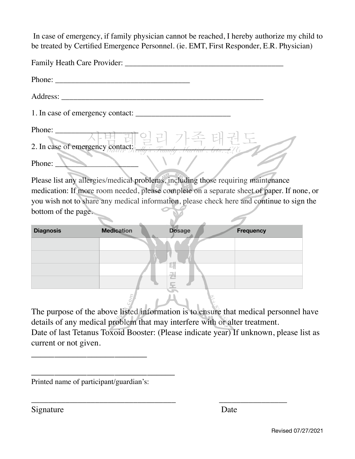In case of emergency, if family physician cannot be reached, I hereby authorize my child to be treated by Certified Emergence Personnel. (ie. EMT, First Responder, E.R. Physician)

| Family Heath Care Provider:                                        |
|--------------------------------------------------------------------|
| Phone:                                                             |
| Address:                                                           |
| 1. In case of emergency contact:                                   |
| Phone: - 사범레일리 가족 태권도                                              |
| 2. In case of emergency contact; if it is Family Hartial Cris. 276 |
| Phone:                                                             |

Please list any allergies/medical problems, including those requiring maintenance medication: If more room needed, please complete on a separate sheet of paper. If none, or you wish not to share any medical information, please check here and continue to sign the bottom of the page.

| <b>Diagnosis</b> | <b>Medication</b> | <b>Dosage</b> | <b>Frequency</b> |
|------------------|-------------------|---------------|------------------|
|                  |                   |               |                  |
|                  |                   |               |                  |
|                  |                   | --<br>E.      |                  |
|                  |                   | 견             |                  |
|                  |                   | lino.         |                  |

The purpose of the above listed information is to ensure that medical personnel have details of any medical problem that may interfere with or alter treatment.

Date of last Tetanus Toxoid Booster: (Please indicate year) If unknown, please list as current or not given.

\_\_\_\_\_\_\_\_\_\_\_\_\_\_\_\_\_\_\_\_\_\_\_\_\_\_\_\_\_\_\_\_\_\_ \_\_\_\_\_\_\_\_\_\_\_\_\_\_\_\_

Printed name of participant/guardian's:

\_\_\_\_\_\_\_\_\_\_\_\_\_\_\_\_\_\_\_\_\_\_\_\_\_\_\_\_\_\_\_

\_\_\_\_\_\_\_\_\_\_\_\_\_\_\_\_\_\_\_\_\_\_\_\_\_

Signature Date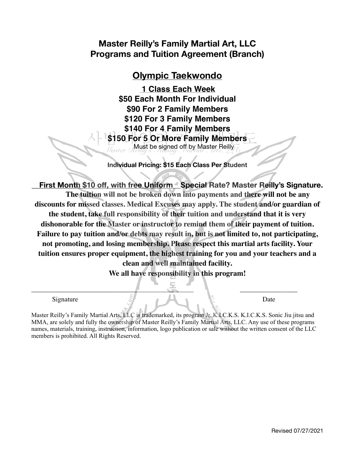## **Master Reilly's Family Martial Art, LLC Programs and Tuition Agreement (Branch)**

## **Olympic Taekwondo**

**1 Class Each Week \$50 Each Month For Individual \$90 For 2 Family Members \$120 For 3 Family Members \$140 For 4 Family Members \$150 For 5 Or More Family Members**  Must be signed off by Master Reilly

**Individual Pricing: \$15 Each Class Per Student** 

**\_\_First Month \$10 off, with free Uniform\_\_Special Rate? Master Reilly's Signature. The tuition will not be broken down into payments and there will not be any discounts for missed classes. Medical Excuses may apply. The student and/or guardian of the student, take full responsibility of their tuition and understand that it is very dishonorable for the Master or instructor to remind them of their payment of tuition. Failure to pay tuition and/or debts may result in, but is not limited to, not participating, not promoting, and losing membership. Please respect this martial arts facility. Your tuition ensures proper equipment, the highest training for you and your teachers and a clean and well maintained facility.** 

**We all have responsibility in this program!** 

\_\_\_\_\_\_\_\_\_\_\_\_\_\_\_\_\_\_\_\_\_\_\_\_\_\_\_\_\_\_\_\_\_\_\_\_\_\_\_\_\_\_\_\_\_\_\_\_ \_\_\_\_\_\_\_\_\_\_\_\_\_\_\_\_\_

Signature  $5$  Date

Master Reilly's Family Martial Arts, LLC is trademarked, its program Jr. K.I.C.K.S. K.I.C.K.S. Sonic Jiu jitsu and MMA, are solely and fully the ownership of Master Reilly's Family Martial Arts, LLC. Any use of these programs names, materials, training, instruction, information, logo publication or sale without the written consent of the LLC members is prohibited. All Rights Reserved.